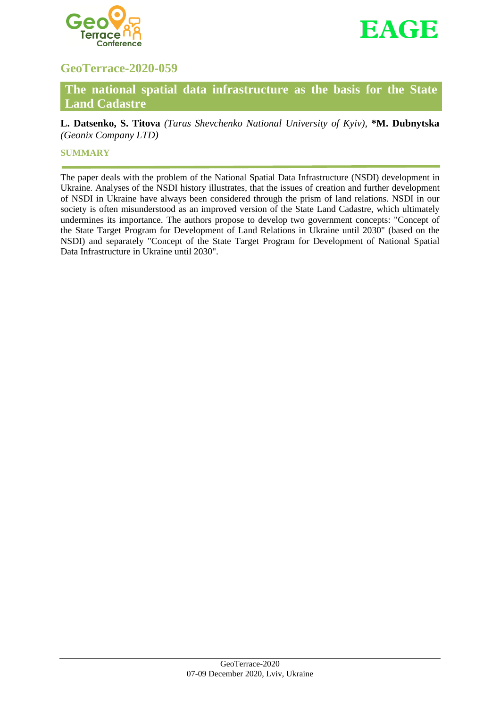



# **GeoTerrace-2020-059**

**The national spatial data infrastructure as the basis for the State Land Cadastre**

**L. Datsenko, S. Titova** *(Taras Shevchenko National University of Kyiv),* **\*M. Dubnytska** *(Geonix Company LTD)*

## **SUMMARY**

The paper deals with the problem of the National Spatial Data Infrastructure (NSDI) development in Ukraine. Analyses of the NSDI history illustrates, that the issues of creation and further development of NSDI in Ukraine have always been considered through the prism of land relations. NSDI in our society is often misunderstood as an improved version of the State Land Cadastre, which ultimately undermines its importance. The authors propose to develop two government concepts: "Concept of the State Target Program for Development of Land Relations in Ukraine until 2030" (based on the NSDI) and separately "Concept of the State Target Program for Development of National Spatial Data Infrastructure in Ukraine until 2030".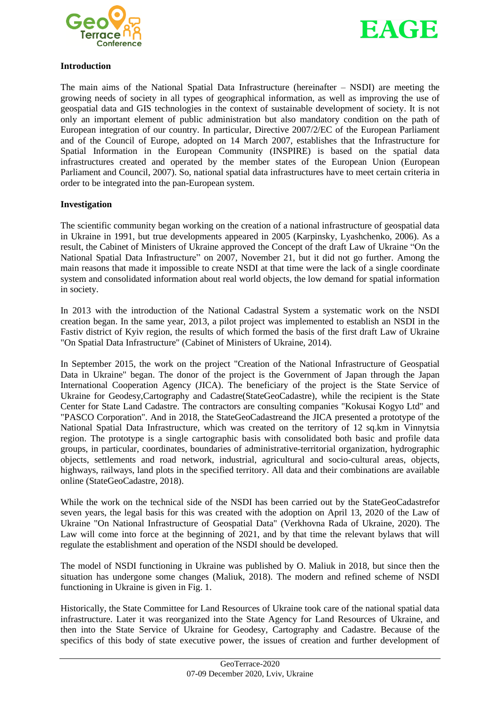



## **Introduction**

The main aims of the National Spatial Data Infrastructure (hereinafter – NSDI) are meeting the growing needs of society in all types of geographical information, as well as improving the use of geospatial data and GIS technologies in the context of sustainable development of society. It is not only an important element of public administration but also mandatory condition on the path of European integration of our country. In particular, Directive 2007/2/EC of the European Parliament and of the Council of Europe, adopted on 14 March 2007, establishes that the Infrastructure for Spatial Information in the European Community (INSPIRE) is based on the spatial data infrastructures created and operated by the member states of the European Union (European Parliament and Council, 2007). So, national spatial data infrastructures have to meet certain criteria in order to be integrated into the pan-European system.

# **Investigation**

The scientific community began working on the creation of a national infrastructure of geospatial data in Ukraine in 1991, but true developments appeared in 2005 (Karpinsky, Lyashchenko, 2006). As a result, the Cabinet of Ministers of Ukraine approved the Concept of the draft Law of Ukraine "On the National Spatial Data Infrastructure" on 2007, November 21, but it did not go further. Among the main reasons that made it impossible to create NSDI at that time were the lack of a single coordinate system and consolidated information about real world objects, the low demand for spatial information in society.

In 2013 with the introduction of the National Cadastral System a systematic work on the NSDI creation began. In the same year, 2013, a pilot project was implemented to establish an NSDI in the Fastiv district of Kyiv region, the results of which formed the basis of the first draft Law of Ukraine "On Spatial Data Infrastructure" (Cabinet of Ministers of Ukraine, 2014).

In September 2015, the work on the project "Creation of the National Infrastructure of Geospatial Data in Ukraine" began. The donor of the project is the Government of Japan through the Japan International Cooperation Agency (JICA). The beneficiary of the project is the State Service of Ukraine for Geodesy,Cartography and Cadastre(StateGeoCadastre), while the recipient is the State Center for State Land Cadastre. The contractors are consulting companies "Kokusai Kogyo Ltd" and "PASCO Corporation". And in 2018, the StateGeoCadastreand the JICA presented a prototype of the National Spatial Data Infrastructure, which was created on the territory of 12 sq.km in Vinnytsia region. The prototype is a single cartographic basis with consolidated both basic and profile data groups, in particular, coordinates, boundaries of administrative-territorial organization, hydrographic objects, settlements and road network, industrial, agricultural and socio-cultural areas, objects, highways, railways, land plots in the specified territory. All data and their combinations are available online (StateGeoCadastre, 2018).

While the work on the technical side of the NSDI has been carried out by the StateGeoCadastrefor seven years, the legal basis for this was created with the adoption on April 13, 2020 of the Law of Ukraine "On National Infrastructure of Geospatial Data" (Verkhovna Rada of Ukraine, 2020). The Law will come into force at the beginning of 2021, and by that time the relevant bylaws that will regulate the establishment and operation of the NSDI should be developed.

The model of NSDI functioning in Ukraine was published by O. Maliuk in 2018, but since then the situation has undergone some changes (Maliuk, 2018). The modern and refined scheme of NSDI functioning in Ukraine is given in Fig. 1.

Historically, the State Committee for Land Resources of Ukraine took care of the national spatial data infrastructure. Later it was reorganized into the State Agency for Land Resources of Ukraine, and then into the State Service of Ukraine for Geodesy, Cartography and Cadastre. Because of the specifics of this body of state executive power, the issues of creation and further development of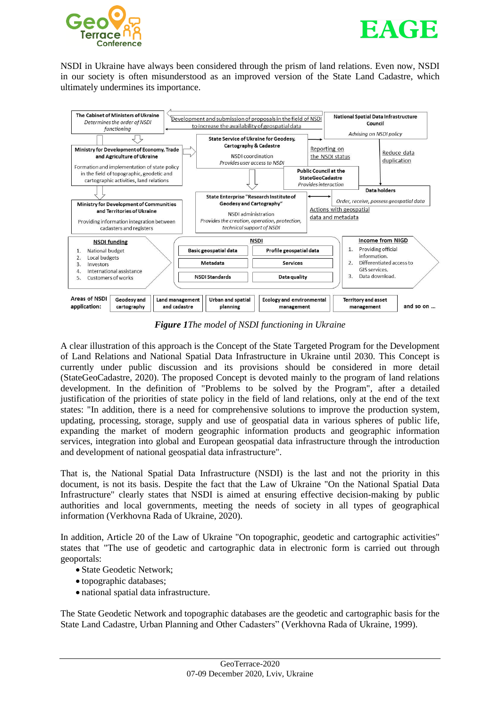



NSDI in Ukraine have always been considered through the prism of land relations. Even now, NSDI in our society is often misunderstood as an improved version of the State Land Cadastre, which ultimately undermines its importance.



*Figure 1The model of NSDI functioning in Ukraine*

A clear illustration of this approach is the Concept of the State Targeted Program for the Development of Land Relations and National Spatial Data Infrastructure in Ukraine until 2030. This Concept is currently under public discussion and its provisions should be considered in more detail (StateGeoCadastre, 2020). The proposed Concept is devoted mainly to the program of land relations development. In the definition of "Problems to be solved by the Program", after a detailed justification of the priorities of state policy in the field of land relations, only at the end of the text states: "In addition, there is a need for comprehensive solutions to improve the production system, updating, processing, storage, supply and use of geospatial data in various spheres of public life, expanding the market of modern geographic information products and geographic information services, integration into global and European geospatial data infrastructure through the introduction and development of national geospatial data infrastructure".

That is, the National Spatial Data Infrastructure (NSDI) is the last and not the priority in this document, is not its basis. Despite the fact that the Law of Ukraine "On the National Spatial Data Infrastructure" clearly states that NSDI is aimed at ensuring effective decision-making by public authorities and local governments, meeting the needs of society in all types of geographical information (Verkhovna Rada of Ukraine, 2020).

In addition, Article 20 of the Law of Ukraine "On topographic, geodetic and cartographic activities" states that "The use of geodetic and cartographic data in electronic form is carried out through geoportals:

- State Geodetic Network;
- topographic databases;
- national spatial data infrastructure.

The State Geodetic Network and topographic databases are the geodetic and cartographic basis for the State Land Cadastre, Urban Planning and Other Cadasters" (Verkhovna Rada of Ukraine, 1999).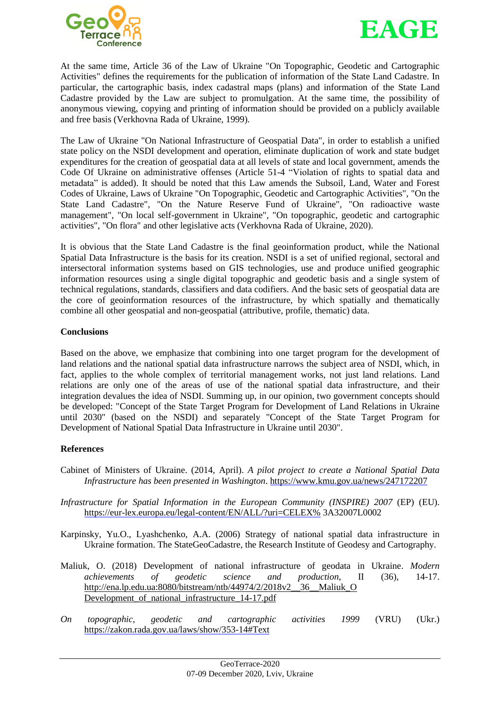



At the same time, Article 36 of the Law of Ukraine "On Topographic, Geodetic and Cartographic Activities" defines the requirements for the publication of information of the State Land Cadastre. In particular, the cartographic basis, index cadastral maps (plans) and information of the State Land Cadastre provided by the Law are subject to promulgation. At the same time, the possibility of anonymous viewing, copying and printing of information should be provided on a publicly available and free basis (Verkhovna Rada of Ukraine, 1999).

The Law of Ukraine "On National Infrastructure of Geospatial Data", in order to establish a unified state policy on the NSDI development and operation, eliminate duplication of work and state budget expenditures for the creation of geospatial data at all levels of state and local government, amends the Code Of Ukraine on administrative offenses (Article 51-4 "Violation of rights to spatial data and metadata" is added). It should be noted that this Law amends the Subsoil, Land, Water and Forest Codes of Ukraine, Laws of Ukraine "On Topographic, Geodetic and Cartographic Activities", "On the State Land Cadastre", "On the Nature Reserve Fund of Ukraine", "On radioactive waste management", "On local self-government in Ukraine", "On topographic, geodetic and cartographic activities", "On flora" and other legislative acts (Verkhovna Rada of Ukraine, 2020).

It is obvious that the State Land Cadastre is the final geoinformation product, while the National Spatial Data Infrastructure is the basis for its creation. NSDI is a set of unified regional, sectoral and intersectoral information systems based on GIS technologies, use and produce unified geographic information resources using a single digital topographic and geodetic basis and a single system of technical regulations, standards, classifiers and data codifiers. And the basic sets of geospatial data are the core of geoinformation resources of the infrastructure, by which spatially and thematically combine all other geospatial and non-geospatial (attributive, profile, thematic) data.

## **Conclusions**

Based on the above, we emphasize that combining into one target program for the development of land relations and the national spatial data infrastructure narrows the subject area of NSDI, which, in fact, applies to the whole complex of territorial management works, not just land relations. Land relations are only one of the areas of use of the national spatial data infrastructure, and their integration devalues the idea of NSDI. Summing up, in our opinion, two government concepts should be developed: "Concept of the State Target Program for Development of Land Relations in Ukraine until 2030" (based on the NSDI) and separately "Concept of the State Target Program for Development of National Spatial Data Infrastructure in Ukraine until 2030".

# **References**

- Cabinet of Ministers of Ukraine. (2014, April). *A pilot project to create a National Spatial Data Infrastructure has been presented in Washington*. <https://www.kmu.gov.ua/news/247172207>
- *Infrastructure for Spatial Information in the European Community (INSPIRE) 2007* (EP) (EU). [https://eur-lex.europa.eu/legal-content/EN/ALL/?uri=CELEX%](https://eur-lex.europa.eu/legal-content/EN/ALL/?uri=CELEX%2525) 3A32007L0002
- Karpinsky, Yu.O., Lyashchenko, A.A. (2006) Strategy of national spatial data infrastructure in Ukraine formation. The StateGeoCadastre, the Research Institute of Geodesy and Cartography.
- Maliuk, O. (2018) Development of national infrastructure of geodata in Ukraine. *Modern achievements of geodetic science and production*, ІІ (36), 14-17. [http://ena.lp.edu.ua:8080/bitstream/ntb/44974/2/2018v2\\_\\_36\\_\\_Maliuk\\_O](http://ena.lp.edu.ua:8080/bitstream/ntb/44974/2/2018v2__36__Maliuk_O%20Development_of_national_infrastructure_14-17.pdf) [Development\\_of\\_national\\_infrastructure\\_14-17.pdf](http://ena.lp.edu.ua:8080/bitstream/ntb/44974/2/2018v2__36__Maliuk_O%20Development_of_national_infrastructure_14-17.pdf)
- *On topographic, geodetic and cartographic activities 1999* (VRU) (Ukr.) <https://zakon.rada.gov.ua/laws/show/353-14#Text>